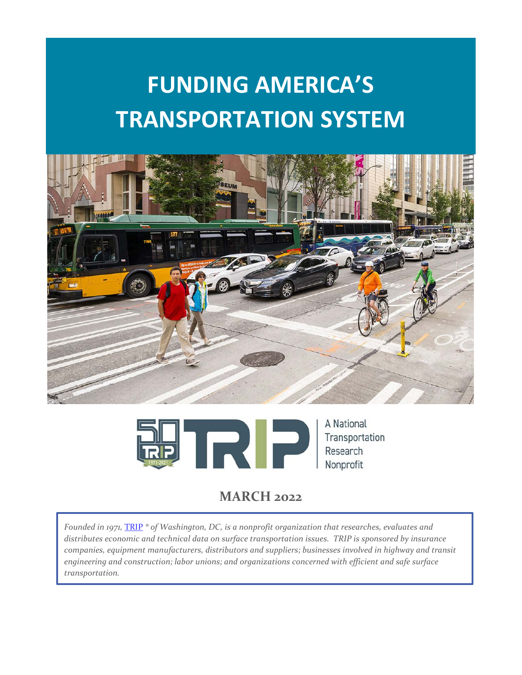# **FUNDING AMERICA'S TRANSPORTATION SYSTEM**





# **MARCH 2022**

*Founded in 1971,* [TRIP](http://www.tripnet.org/) *® of Washington, DC, is a nonprofit organization that researches, evaluates and distributes economic and technical data on surface transportation issues. TRIP is sponsored by insurance companies, equipment manufacturers, distributors and suppliers; businesses involved in highway and transit engineering and construction; labor unions; and organizations concerned with efficient and safe surface transportation.*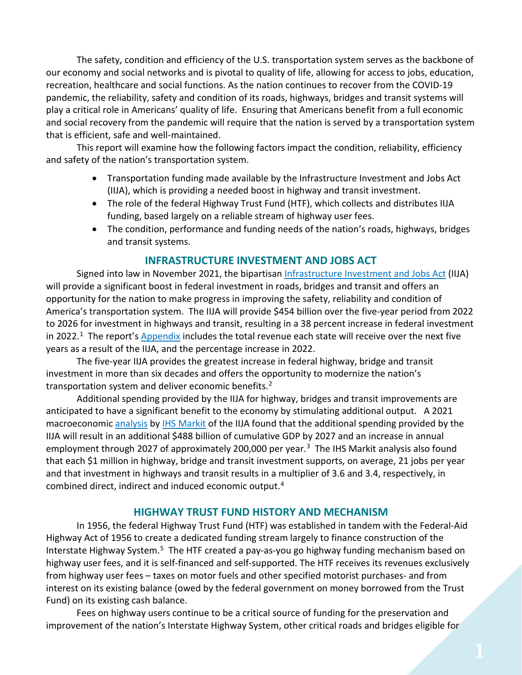The safety, condition and efficiency of the U.S. transportation system serves as the backbone of our economy and social networks and is pivotal to quality of life, allowing for access to jobs, education, recreation, healthcare and social functions. As the nation continues to recover from the COVID-19 pandemic, the reliability, safety and condition of its roads, highways, bridges and transit systems will play a critical role in Americans' quality of life. Ensuring that Americans benefit from a full economic and social recovery from the pandemic will require that the nation is served by a transportation system that is efficient, safe and well-maintained.

This report will examine how the following factors impact the condition, reliability, efficiency and safety of the nation's transportation system.

- Transportation funding made available by the Infrastructure Investment and Jobs Act (IIJA), which is providing a needed boost in highway and transit investment.
- The role of the federal Highway Trust Fund (HTF), which collects and distributes IIJA funding, based largely on a reliable stream of highway user fees.
- The condition, performance and funding needs of the nation's roads, highways, bridges and transit systems.

# **INFRASTRUCTURE INVESTMENT AND JOBS ACT**

Signed into law in November 2021, the bipartisa[n Infrastructure Investment and Jobs Act](https://www.congress.gov/bill/117th-congress/house-bill/3684/text) (IIJA) will provide a significant boost in federal investment in roads, bridges and transit and offers an opportunity for the nation to make progress in improving the safety, reliability and condition of America's transportation system. The IIJA will provide \$454 billion over the five-year period from 2022 to 2026 for investment in highways and transit, resulting in a 38 percent increase in federal investment in 2022.<sup>1</sup> The report's [Appendix](https://tripnet.org/reports/funding-americas-transportation-system-report-appendix-march-2022) includes the total revenue each state will receive over the next five years as a result of the IIJA, and the percentage increase in 2022.

The five-year IIJA provides the greatest increase in federal highway, bridge and transit investment in more than six decades and offers the opportunity to modernize the nation's transportation system and deliver economic benefits. $2$ 

Additional spending provided by the IIJA for highway, bridges and transit improvements are anticipated to have a significant benefit to the economy by stimulating additional output. A 2021 macroeconomic [analysis](https://www.artba.org/wp-content/uploads/federal-investment/iija/ARTBA_EIA_IIJA_Report_Sept2021.pdf) by [IHS Markit](https://ihsmarkit.com/index.html) of the IIJA found that the additional spending provided by the IIJA will result in an additional \$488 billion of cumulative GDP by 2027 and an increase in annual employment through 2027 of approximately 200,000 per year.<sup>3</sup> The IHS Markit analysis also found that each \$1 million in highway, bridge and transit investment supports, on average, 21 jobs per year and that investment in highways and transit results in a multiplier of 3.6 and 3.4, respectively, in combined direct, indirect and induced economic output.[4](#page-8-3)

# **HIGHWAY TRUST FUND HISTORY AND MECHANISM**

In 1956, the federal Highway Trust Fund (HTF) was established in tandem with the Federal-Aid Highway Act of 1956 to create a dedicated funding stream largely to finance construction of the Interstate Highway System.<sup>[5](#page-8-4)</sup> The HTF created a pay-as-you go highway funding mechanism based on highway user fees, and it is self-financed and self-supported. The HTF receives its revenues exclusively from highway user fees – taxes on motor fuels and other specified motorist purchases- and from interest on its existing balance (owed by the federal government on money borrowed from the Trust Fund) on its existing cash balance.

Fees on highway users continue to be a critical source of funding for the preservation and improvement of the nation's Interstate Highway System, other critical roads and bridges eligible for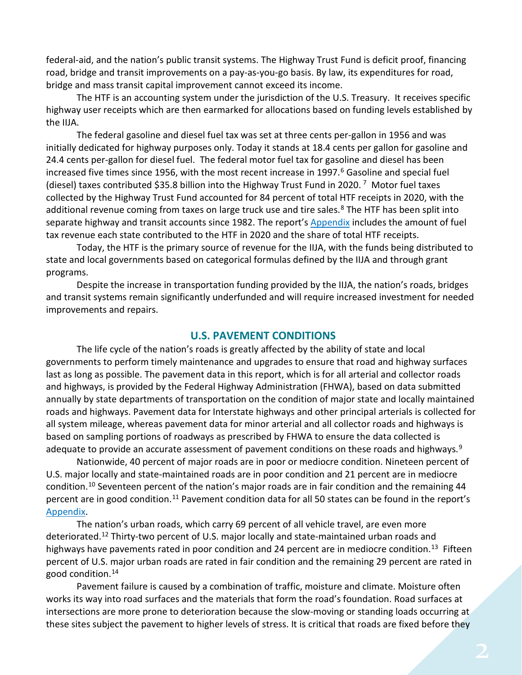federal-aid, and the nation's public transit systems. The Highway Trust Fund is deficit proof, financing road, bridge and transit improvements on a pay-as-you-go basis. By law, its expenditures for road, bridge and mass transit capital improvement cannot exceed its income.

The HTF is an accounting system under the jurisdiction of the U.S. Treasury. It receives specific highway user receipts which are then earmarked for allocations based on funding levels established by the IIJA.

The federal gasoline and diesel fuel tax was set at three cents per-gallon in 1956 and was initially dedicated for highway purposes only. Today it stands at 18.4 cents per gallon for gasoline and 24.4 cents per-gallon for diesel fuel. The federal motor fuel tax for gasoline and diesel has been increased five times since 195[6](#page-8-5), with the most recent increase in 1997.<sup>6</sup> Gasoline and special fuel (diesel) taxes contributed \$35.8 billion into the Highway Trust Fund in 2020. [7](#page-8-6) Motor fuel taxes collected by the Highway Trust Fund accounted for 84 percent of total HTF receipts in 2020, with the additional revenue coming from taxes on large truck use and tire sales.<sup>[8](#page-8-7)</sup> The HTF has been split into separate highway and transit accounts since 1982. The report's [Appendix](https://tripnet.org/reports/funding-americas-transportation-system-report-appendix-march-2022) includes the amount of fuel tax revenue each state contributed to the HTF in 2020 and the share of total HTF receipts.

Today, the HTF is the primary source of revenue for the IIJA, with the funds being distributed to state and local governments based on categorical formulas defined by the IIJA and through grant programs.

Despite the increase in transportation funding provided by the IIJA, the nation's roads, bridges and transit systems remain significantly underfunded and will require increased investment for needed improvements and repairs.

#### **U.S. PAVEMENT CONDITIONS**

The life cycle of the nation's roads is greatly affected by the ability of state and local governments to perform timely maintenance and upgrades to ensure that road and highway surfaces last as long as possible. The pavement data in this report, which is for all arterial and collector roads and highways, is provided by the Federal Highway Administration (FHWA), based on data submitted annually by state departments of transportation on the condition of major state and locally maintained roads and highways. Pavement data for Interstate highways and other principal arterials is collected for all system mileage, whereas pavement data for minor arterial and all collector roads and highways is based on sampling portions of roadways as prescribed by FHWA to ensure the data collected is adequate to provide an accurate assessment of pavement conditions on these roads and highways.<sup>[9](#page-8-8)</sup>

Nationwide, 40 percent of major roads are in poor or mediocre condition. Nineteen percent of U.S. major locally and state-maintained roads are in poor condition and 21 percent are in mediocre condition.[10](#page-8-9) Seventeen percent of the nation's major roads are in fair condition and the remaining 44 percent are in good condition.<sup>[11](#page-8-10)</sup> Pavement condition data for all 50 states can be found in the report's [Appendix.](https://tripnet.org/reports/funding-americas-transportation-system-report-appendix-march-2022)

The nation's urban roads, which carry 69 percent of all vehicle travel, are even more deteriorated.<sup>[12](#page-8-11)</sup> Thirty-two percent of U.S. major locally and state-maintained urban roads and highways have pavements rated in poor condition and 24 percent are in mediocre condition.<sup>[13](#page-8-12)</sup> Fifteen percent of U.S. major urban roads are rated in fair condition and the remaining 29 percent are rated in good condition.[14](#page-8-13)

Pavement failure is caused by a combination of traffic, moisture and climate. Moisture often works its way into road surfaces and the materials that form the road's foundation. Road surfaces at intersections are more prone to deterioration because the slow-moving or standing loads occurring at these sites subject the pavement to higher levels of stress. It is critical that roads are fixed before they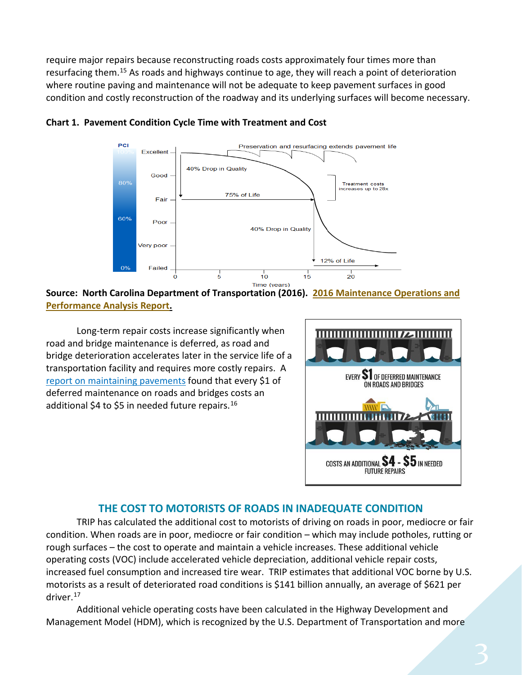require major repairs because reconstructing roads costs approximately four times more than resurfacing them.<sup>[15](#page-8-14)</sup> As roads and highways continue to age, they will reach a point of deterioration where routine paving and maintenance will not be adequate to keep pavement surfaces in good condition and costly reconstruction of the roadway and its underlying surfaces will become necessary.



**Chart 1. Pavement Condition Cycle Time with Treatment and Cost**

**Source: North Carolina Department of Transportation (2016). [2016 Maintenance Operations and](https://connect.ncdot.gov/resources/Asset-Management/MSADocuments/2016%20Maintenance%20Operations%20and%20Performance%20Analysis%20Report%20(MOPAR).pdf)  [Performance Analysis Report.](https://connect.ncdot.gov/resources/Asset-Management/MSADocuments/2016%20Maintenance%20Operations%20and%20Performance%20Analysis%20Report%20(MOPAR).pdf)**

Long-term repair costs increase significantly when road and bridge maintenance is deferred, as road and bridge deterioration accelerates later in the service life of a transportation facility and requires more costly repairs. A [report on maintaining pavements](https://www.yumpu.com/en/document/view/9021768/pavement-maintenance-cornell-local-roads-program-cornell-/4) found that every \$1 of deferred maintenance on roads and bridges costs an additional \$4 to \$5 in needed future repairs.<sup>[16](#page-8-15)</sup>



### **THE COST TO MOTORISTS OF ROADS IN INADEQUATE CONDITION**

TRIP has calculated the additional cost to motorists of driving on roads in poor, mediocre or fair condition. When roads are in poor, mediocre or fair condition – which may include potholes, rutting or rough surfaces – the cost to operate and maintain a vehicle increases. These additional vehicle operating costs (VOC) include accelerated vehicle depreciation, additional vehicle repair costs, increased fuel consumption and increased tire wear. TRIP estimates that additional VOC borne by U.S. motorists as a result of deteriorated road conditions is \$141 billion annually, an average of \$621 per driver.[17](#page-8-16)

Additional vehicle operating costs have been calculated in the Highway Development and Management Model (HDM), which is recognized by the U.S. Department of Transportation and more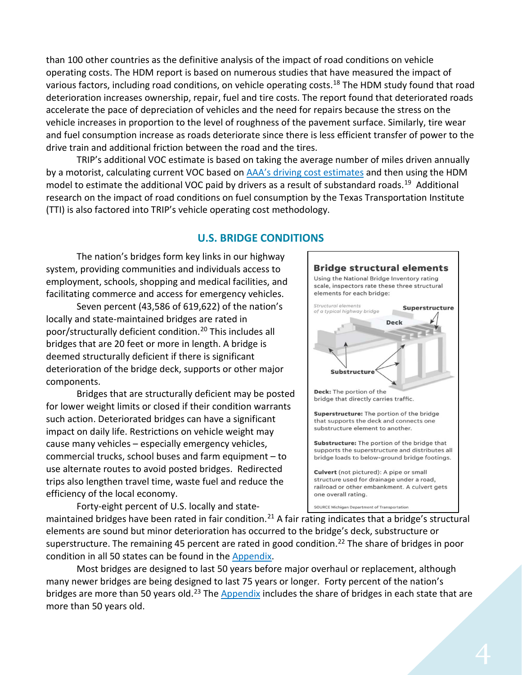than 100 other countries as the definitive analysis of the impact of road conditions on vehicle operating costs. The HDM report is based on numerous studies that have measured the impact of various factors, including road conditions, on vehicle operating costs.<sup>[18](#page-8-17)</sup> The HDM study found that road deterioration increases ownership, repair, fuel and tire costs. The report found that deteriorated roads accelerate the pace of depreciation of vehicles and the need for repairs because the stress on the vehicle increases in proportion to the level of roughness of the pavement surface. Similarly, tire wear and fuel consumption increase as roads deteriorate since there is less efficient transfer of power to the drive train and additional friction between the road and the tires.

TRIP's additional VOC estimate is based on taking the average number of miles driven annually by a motorist, calculating current VOC based on [AAA's driving cost estimates](https://www.aaa.com/AAA/common/AAR/files/AAA-Your-Driving-Costs.pdf) and then using the HDM model to estimate the additional VOC paid by drivers as a result of substandard roads.<sup>19</sup> Additional research on the impact of road conditions on fuel consumption by the Texas Transportation Institute (TTI) is also factored into TRIP's vehicle operating cost methodology.

#### **U.S. BRIDGE CONDITIONS**

The nation's bridges form key links in our highway system, providing communities and individuals access to employment, schools, shopping and medical facilities, and facilitating commerce and access for emergency vehicles.

Seven percent (43,586 of 619,622) of the nation's locally and state-maintained bridges are rated in poor/structurally deficient condition.[20](#page-8-19) This includes all bridges that are 20 feet or more in length. A bridge is deemed structurally deficient if there is significant deterioration of the bridge deck, supports or other major components.

Bridges that are structurally deficient may be posted for lower weight limits or closed if their condition warrants such action. Deteriorated bridges can have a significant impact on daily life. Restrictions on vehicle weight may cause many vehicles – especially emergency vehicles, commercial trucks, school buses and farm equipment – to use alternate routes to avoid posted bridges. Redirected trips also lengthen travel time, waste fuel and reduce the efficiency of the local economy.

Forty-eight percent of U.S. locally and state-



maintained bridges have been rated in fair condition.<sup>[21](#page-8-20)</sup> A fair rating indicates that a bridge's structural elements are sound but minor deterioration has occurred to the bridge's deck, substructure or superstructure. The remaining 45 percent are rated in good condition.<sup>[22](#page-8-21)</sup> The share of bridges in poor condition in all 50 states can be found in the [Appendix.](https://tripnet.org/reports/funding-americas-transportation-system-report-appendix-march-2022)

Most bridges are designed to last 50 years before major overhaul or replacement, although many newer bridges are being designed to last 75 years or longer. Forty percent of the nation's bridges are more than 50 years old.<sup>[23](#page-8-22)</sup> The [Appendix](https://tripnet.org/reports/funding-americas-transportation-system-report-appendix-march-2022) includes the share of bridges in each state that are more than 50 years old.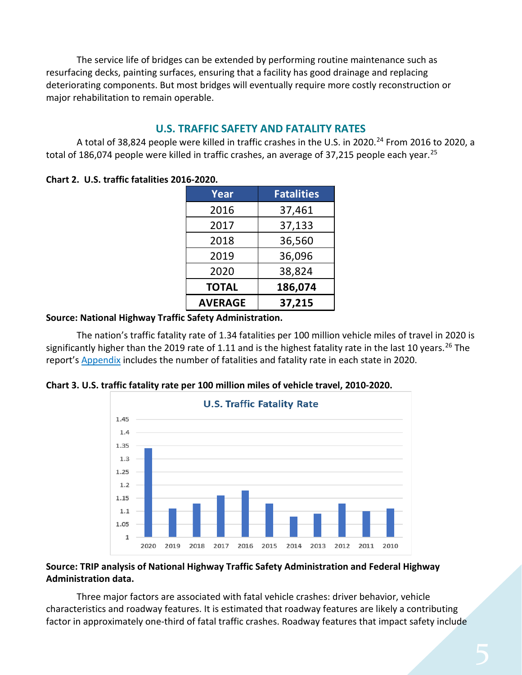The service life of bridges can be extended by performing routine maintenance such as resurfacing decks, painting surfaces, ensuring that a facility has good drainage and replacing deteriorating components. But most bridges will eventually require more costly reconstruction or major rehabilitation to remain operable.

## **U.S. TRAFFIC SAFETY AND FATALITY RATES**

A total of 38,8[24](#page-8-23) people were killed in traffic crashes in the U.S. in 2020.<sup>24</sup> From 2016 to 2020, a total of 186,074 people were killed in traffic crashes, an average of 37,215 people each year.<sup>[25](#page-8-24)</sup>

**Chart 2. U.S. traffic fatalities 2016-2020.**

| Year           | <b>Fatalities</b> |
|----------------|-------------------|
| 2016           | 37,461            |
| 2017           | 37,133            |
| 2018           | 36,560            |
| 2019           | 36,096            |
| 2020           | 38,824            |
| <b>TOTAL</b>   | 186,074           |
| <b>AVERAGE</b> | 37,215            |

#### **Source: National Highway Traffic Safety Administration.**

The nation's traffic fatality rate of 1.34 fatalities per 100 million vehicle miles of travel in 2020 is significantly higher than the 2019 rate of 1.11 and is the highest fatality rate in the last 10 years.<sup>[26](#page-8-25)</sup> The report's [Appendix](https://tripnet.org/reports/funding-americas-transportation-system-report-appendix-march-2022) includes the number of fatalities and fatality rate in each state in 2020.



**Chart 3. U.S. traffic fatality rate per 100 million miles of vehicle travel, 2010-2020.**

#### **Source: TRIP analysis of National Highway Traffic Safety Administration and Federal Highway Administration data.**

Three major factors are associated with fatal vehicle crashes: driver behavior, vehicle characteristics and roadway features. It is estimated that roadway features are likely a contributing factor in approximately one-third of fatal traffic crashes. Roadway features that impact safety include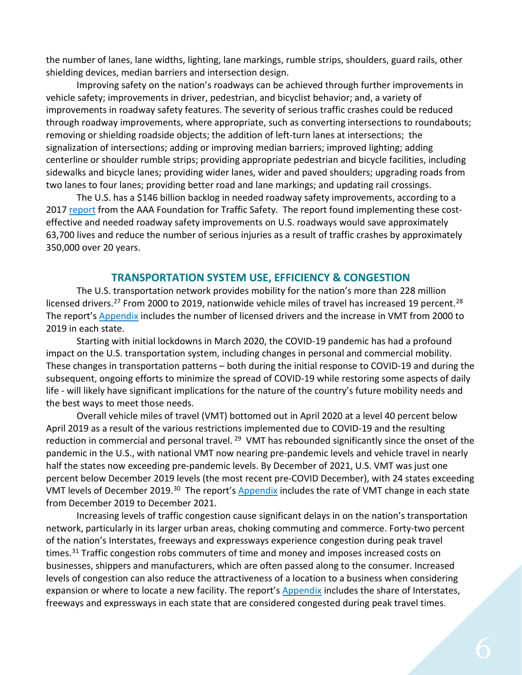the number of lanes, lane widths, lighting, lane markings, rumble strips, shoulders, guard rails, other shielding devices, median barriers and intersection design.

Improving safety on the nation's roadways can be achieved through further improvements in vehicle safety; improvements in driver, pedestrian, and bicyclist behavior; and, a variety of improvements in roadway safety features. The severity of serious traffic crashes could be reduced through roadway improvements, where appropriate, such as converting intersections to roundabouts; removing or shielding roadside objects; the addition of left-turn lanes at intersections; the signalization of intersections; adding or improving median barriers; improved lighting; adding centerline or shoulder rumble strips; providing appropriate pedestrian and bicycle facilities, including sidewalks and bicycle lanes; providing wider lanes, wider and paved shoulders; upgrading roads from two lanes to four lanes; providing better road and lane markings; and updating rail crossings.

The U.S. has a \$146 billion backlog in needed roadway safety improvements, according to a 2017 [report](https://aaafoundation.org/wp-content/uploads/2017/05/SafetyBenefitsofHighway.pdf) from the AAA Foundation for Traffic Safety. The report found implementing these costeffective and needed roadway safety improvements on U.S. roadways would save approximately 63,700 lives and reduce the number of serious injuries as a result of traffic crashes by approximately 350,000 over 20 years.

#### **TRANSPORTATION SYSTEM USE, EFFICIENCY & CONGESTION**

The U.S. transportation network provides mobility for the nation's more than 228 million licensed drivers.<sup>[27](#page-8-26)</sup> From 2000 to 2019, nationwide vehicle miles of travel has increased 19 percent.<sup>[28](#page-8-27)</sup> The report's [Appendix](https://tripnet.org/reports/funding-americas-transportation-system-report-appendix-march-2022) includes the number of licensed drivers and the increase in VMT from 2000 to 2019 in each state.

Starting with initial lockdowns in March 2020, the COVID-19 pandemic has had a profound impact on the U.S. transportation system, including changes in personal and commercial mobility. These changes in transportation patterns – both during the initial response to COVID-19 and during the subsequent, ongoing efforts to minimize the spread of COVID-19 while restoring some aspects of daily life - will likely have significant implications for the nature of the country's future mobility needs and the best ways to meet those needs.

Overall vehicle miles of travel (VMT) bottomed out in April 2020 at a level 40 percent below April 2019 as a result of the various restrictions implemented due to COVID-19 and the resulting reduction in commercial and personal travel.<sup>[29](#page-8-28)</sup> VMT has rebounded significantly since the onset of the pandemic in the U.S., with national VMT now nearing pre-pandemic levels and vehicle travel in nearly half the states now exceeding pre-pandemic levels. By December of 2021, U.S. VMT was just one percent below December 2019 levels (the most recent pre-COVID December), with 24 states exceeding VMT levels of December 2019.[30](#page-8-29) The report's [Appendix](https://tripnet.org/reports/funding-americas-transportation-system-report-appendix-march-2022) includes the rate of VMT change in each state from December 2019 to December 2021.

Increasing levels of traffic congestion cause significant delays in on the nation's transportation network, particularly in its larger urban areas, choking commuting and commerce. Forty-two percent of the nation's Interstates, freeways and expressways experience congestion during peak travel times.<sup>[31](#page-8-30)</sup> Traffic congestion robs commuters of time and money and imposes increased costs on businesses, shippers and manufacturers, which are often passed along to the consumer. Increased levels of congestion can also reduce the attractiveness of a location to a business when considering expansion or where to locate a new facility. The report's [Appendix](https://tripnet.org/reports/funding-americas-transportation-system-report-appendix-march-2022) includes the share of Interstates, freeways and expressways in each state that are considered congested during peak travel times.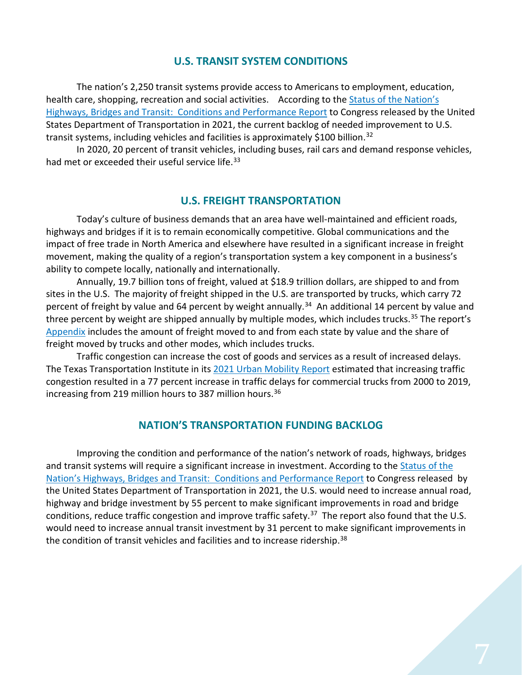#### **U.S. TRANSIT SYSTEM CONDITIONS**

The nation's 2,250 transit systems provide access to Americans to employment, education, health care, shopping, recreation and social activities. According to th[e Status of the Nation's](https://www.fhwa.dot.gov/policy/24cpr/pdf/Chapter7.pdf)  [Highways, Bridges and Transit: Conditions and Performance Report](https://www.fhwa.dot.gov/policy/24cpr/pdf/Chapter7.pdf) to Congress released by the United States Department of Transportation in 2021, the current backlog of needed improvement to U.S. transit systems, including vehicles and facilities is approximately \$100 billion.<sup>32</sup>

In 2020, 20 percent of transit vehicles, including buses, rail cars and demand response vehicles, had met or exceeded their useful service life.<sup>[33](#page-9-0)</sup>

#### **U.S. FREIGHT TRANSPORTATION**

Today's culture of business demands that an area have well-maintained and efficient roads, highways and bridges if it is to remain economically competitive. Global communications and the impact of free trade in North America and elsewhere have resulted in a significant increase in freight movement, making the quality of a region's transportation system a key component in a business's ability to compete locally, nationally and internationally.

Annually, 19.7 billion tons of freight, valued at \$18.9 trillion dollars, are shipped to and from sites in the U.S. The majority of freight shipped in the U.S. are transported by trucks, which carry 72 percent of freight by value and 64 percent by weight annually.<sup>34</sup> An additional 14 percent by value and three percent by weight are shipped annually by multiple modes, which includes trucks.<sup>[35](#page-9-2)</sup> The report's [Appendix](https://tripnet.org/reports/funding-americas-transportation-system-report-appendix-march-2022) includes the amount of freight moved to and from each state by value and the share of freight moved by trucks and other modes, which includes trucks.

Traffic congestion can increase the cost of goods and services as a result of increased delays. The Texas Transportation Institute in its [2021 Urban Mobility Report](https://mobility.tamu.edu/umr/) estimated that increasing traffic congestion resulted in a 77 percent increase in traffic delays for commercial trucks from 2000 to 2019, increasing from 219 million hours to 387 million hours.<sup>36</sup>

#### **NATION'S TRANSPORTATION FUNDING BACKLOG**

Improving the condition and performance of the nation's network of roads, highways, bridges and transit systems will require a significant increase in investment. According to the [Status of the](https://www.fhwa.dot.gov/policy/24cpr/pdf/Chapter7.pdf)  [Nation's Highways, Bridges and Transit: Conditions and Performance Report](https://www.fhwa.dot.gov/policy/24cpr/pdf/Chapter7.pdf) to Congress released by the United States Department of Transportation in 2021, the U.S. would need to increase annual road, highway and bridge investment by 55 percent to make significant improvements in road and bridge conditions, reduce traffic congestion and improve traffic safety.<sup>[37](#page-9-4)</sup> The report also found that the U.S. would need to increase annual transit investment by 31 percent to make significant improvements in the condition of transit vehicles and facilities and to increase ridership.<sup>[38](#page-9-5)</sup>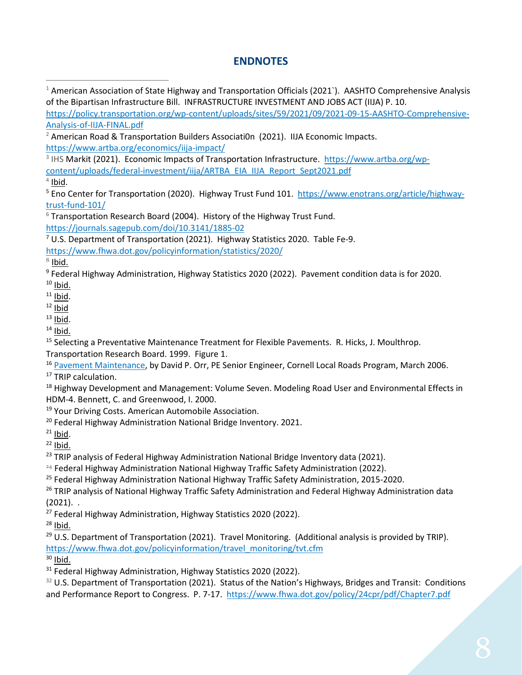# **ENDNOTES**

<span id="page-8-0"></span> $1$  American Association of State Highway and Transportation Officials (2021). AASHTO Comprehensive Analysis of the Bipartisan Infrastructure Bill. INFRASTRUCTURE INVESTMENT AND JOBS ACT (IIJA) P. 10. [https://policy.transportation.org/wp-content/uploads/sites/59/2021/09/2021-09-15-AASHTO-Comprehensive-](https://policy.transportation.org/wp-content/uploads/sites/59/2021/09/2021-09-15-AASHTO-Comprehensive-Analysis-of-IIJA-FINAL.pdf)

[Analysis-of-IIJA-FINAL.pdf](https://policy.transportation.org/wp-content/uploads/sites/59/2021/09/2021-09-15-AASHTO-Comprehensive-Analysis-of-IIJA-FINAL.pdf)

<span id="page-8-1"></span><sup>2</sup> American Road & Transportation Builders Associati0n (2021). IIJA Economic Impacts. <https://www.artba.org/economics/iija-impact/>

<span id="page-8-2"></span><sup>3</sup> IHS Markit (2021). Economic Impacts of Transportation Infrastructure. [https://www.artba.org/wp](https://www.artba.org/wp-content/uploads/federal-investment/iija/ARTBA_EIA_IIJA_Report_Sept2021.pdf)[content/uploads/federal-investment/iija/ARTBA\\_EIA\\_IIJA\\_Report\\_Sept2021.pdf](https://www.artba.org/wp-content/uploads/federal-investment/iija/ARTBA_EIA_IIJA_Report_Sept2021.pdf)

<span id="page-8-3"></span> $4$  Ibid.

<span id="page-8-4"></span><sup>5</sup> Eno Center for Transportation (2020). Highway Trust Fund 101. [https://www.enotrans.org/article/highway](https://www.enotrans.org/article/highway-trust-fund-101/)[trust-fund-101/](https://www.enotrans.org/article/highway-trust-fund-101/)

<span id="page-8-5"></span> $6$  Transportation Research Board (2004). History of the Highway Trust Fund. <https://journals.sagepub.com/doi/10.3141/1885-02>

<span id="page-8-6"></span> $7$  U.S. Department of Transportation (2021). Highway Statistics 2020. Table Fe-9.

<https://www.fhwa.dot.gov/policyinformation/statistics/2020/>

<span id="page-8-7"></span> $8$  Ibid.

<span id="page-8-8"></span><sup>9</sup> Federal Highway Administration, Highway Statistics 2020 (2022). Pavement condition data is for 2020.  $10$  Ibid.

<span id="page-8-10"></span><span id="page-8-9"></span> $11$  Ibid.

<span id="page-8-11"></span> $12$  Ibid

<span id="page-8-12"></span> $13$  Ibid.

<span id="page-8-13"></span> $14$  Ibid.

<span id="page-8-14"></span><sup>15</sup> Selecting a Preventative Maintenance Treatment for Flexible Pavements. R. Hicks, J. Moulthrop. Transportation Research Board. 1999. Figure 1.

<span id="page-8-15"></span><sup>16</sup> [Pavement Maintenance,](https://www.yumpu.com/en/document/view/9021768/pavement-maintenance-cornell-local-roads-program-cornell-/4) by David P. Orr, PE Senior Engineer, Cornell Local Roads Program, March 2006.

<span id="page-8-16"></span><sup>17</sup> TRIP calculation.

<span id="page-8-17"></span><sup>18</sup> Highway Development and Management: Volume Seven. Modeling Road User and Environmental Effects in HDM-4. Bennett, C. and Greenwood, I. 2000.

<span id="page-8-18"></span><sup>19</sup> Your Driving Costs. American Automobile Association.

<span id="page-8-19"></span><sup>20</sup> Federal Highway Administration National Bridge Inventory. 2021.<br><sup>21</sup> Ibid.

<span id="page-8-20"></span>

<span id="page-8-21"></span> $22$  Ibid.

<span id="page-8-22"></span><sup>23</sup> TRIP analysis of Federal Highway Administration National Bridge Inventory data (2021).

<span id="page-8-23"></span><sup>24</sup> Federal Highway Administration National Highway Traffic Safety Administration (2022).

<span id="page-8-24"></span><sup>25</sup> Federal Highway Administration National Highway Traffic Safety Administration, 2015-2020.

<span id="page-8-25"></span><sup>26</sup> TRIP analysis of National Highway Traffic Safety Administration and Federal Highway Administration data (2021). .

<span id="page-8-26"></span><sup>27</sup> Federal Highway Administration, Highway Statistics 2020 (2022).

<span id="page-8-27"></span> $28$  Ibid.

<span id="page-8-28"></span><sup>29</sup> U.S. Department of Transportation (2021). Travel Monitoring. (Additional analysis is provided by TRIP). [https://www.fhwa.dot.gov/policyinformation/travel\\_monitoring/tvt.cfm](https://www.fhwa.dot.gov/policyinformation/travel_monitoring/tvt.cfm)

<span id="page-8-29"></span> $30$  Ibid.

<span id="page-8-30"></span><sup>31</sup> Federal Highway Administration, Highway Statistics 2020 (2022).

<span id="page-8-31"></span> $32$  U.S. Department of Transportation (2021). Status of the Nation's Highways, Bridges and Transit: Conditions and Performance Report to Congress. P. 7-17. <https://www.fhwa.dot.gov/policy/24cpr/pdf/Chapter7.pdf>